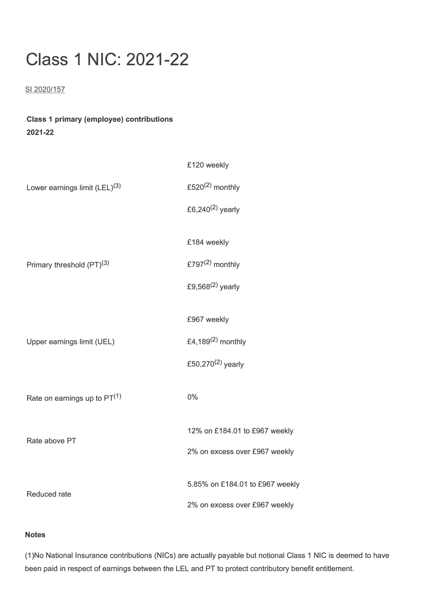## **Class 1 NIC: 2021-22**

## SI 2020/157

## **Class 1 primary (employee) contributions 2021-22**

| Lower earnings limit (LEL) <sup>(3)</sup> | £120 weekly                     |
|-------------------------------------------|---------------------------------|
|                                           | £520 $(2)$ monthly              |
|                                           | £6,240 $(2)$ yearly             |
| Primary threshold (PT) <sup>(3)</sup>     | £184 weekly                     |
|                                           | £797 $(2)$ monthly              |
|                                           | £9,568 $(2)$ yearly             |
| Upper earnings limit (UEL)                | £967 weekly                     |
|                                           | £4,189 $(2)$ monthly            |
|                                           | £50,270 $(2)$ yearly            |
|                                           |                                 |
| Rate on earnings up to $PT(1)$            | 0%                              |
| Rate above PT                             | 12% on £184.01 to £967 weekly   |
|                                           | 2% on excess over £967 weekly   |
| <b>Reduced rate</b>                       | 5.85% on £184.01 to £967 weekly |
|                                           | 2% on excess over £967 weekly   |

## **Notes**

(1)No National Insurance contributions (NICs) are actually payable but notional Class 1 NIC is deemed to have been paid in respect of earnings between the LEL and PT to protect contributory benefit entitlement.